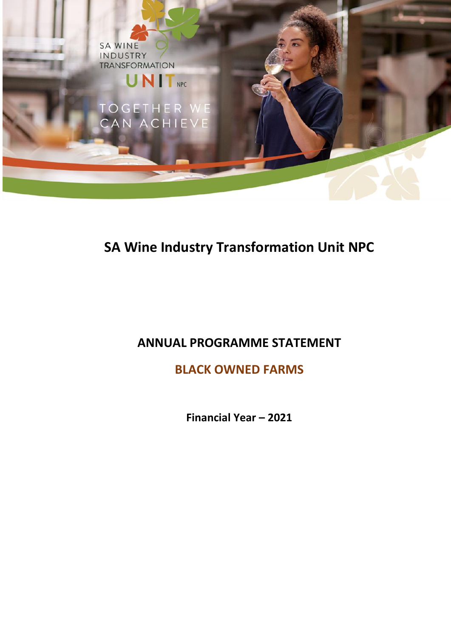

## **SA Wine Industry Transformation Unit NPC**

### **ANNUAL PROGRAMME STATEMENT**

**BLACK OWNED FARMS** 

**Financial Year – 2021**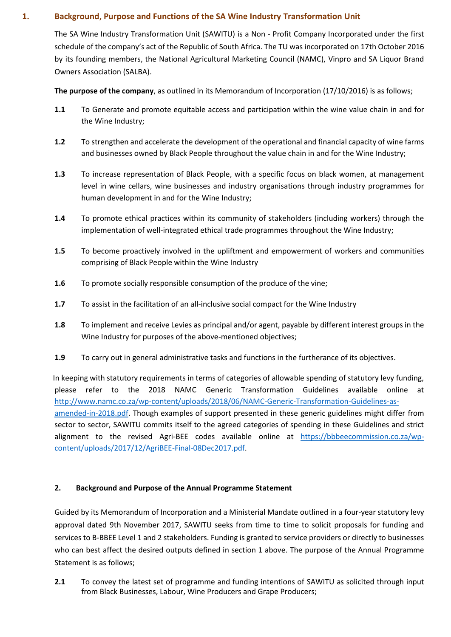### **1. Background, Purpose and Functions of the SA Wine Industry Transformation Unit**

The SA Wine Industry Transformation Unit (SAWITU) is a Non - Profit Company Incorporated under the first schedule of the company's act of the Republic of South Africa. The TU was incorporated on 17th October 2016 by its founding members, the National Agricultural Marketing Council (NAMC), Vinpro and SA Liquor Brand Owners Association (SALBA).

**The purpose of the company**, as outlined in its Memorandum of Incorporation (17/10/2016) is as follows;

- **1.1** To Generate and promote equitable access and participation within the wine value chain in and for the Wine Industry;
- **1.2** To strengthen and accelerate the development of the operational and financial capacity of wine farms and businesses owned by Black People throughout the value chain in and for the Wine Industry;
- **1.3** To increase representation of Black People, with a specific focus on black women, at management level in wine cellars, wine businesses and industry organisations through industry programmes for human development in and for the Wine Industry;
- **1.4** To promote ethical practices within its community of stakeholders (including workers) through the implementation of well-integrated ethical trade programmes throughout the Wine Industry;
- **1.5** To become proactively involved in the upliftment and empowerment of workers and communities comprising of Black People within the Wine Industry
- **1.6** To promote socially responsible consumption of the produce of the vine;
- **1.7** To assist in the facilitation of an all-inclusive social compact for the Wine Industry
- **1.8** To implement and receive Levies as principal and/or agent, payable by different interest groups in the Wine Industry for purposes of the above-mentioned objectives;
- **1.9** To carry out in general administrative tasks and functions in the furtherance of its objectives.

 In keeping with statutory requirements in terms of categories of allowable spending of statutory levy funding, please refer to the 2018 NAMC Generic Transformation Guidelines available online at [http://www.namc.co.za/wp-content/uploads/2018/06/NAMC-Generic-Transformation-Guidelines-as](http://www.namc.co.za/wp-content/uploads/2018/06/NAMC-Generic-Transformation-Guidelines-as-amended-in-2018.pdf)[amended-in-2018.pdf.](http://www.namc.co.za/wp-content/uploads/2018/06/NAMC-Generic-Transformation-Guidelines-as-amended-in-2018.pdf) Though examples of support presented in these generic guidelines might differ from sector to sector, SAWITU commits itself to the agreed categories of spending in these Guidelines and strict alignment to the revised Agri-BEE codes available online at [https://bbbeecommission.co.za/wp](https://bbbeecommission.co.za/wp-content/uploads/2017/12/AgriBEE-Final-08Dec2017.pdf)[content/uploads/2017/12/AgriBEE-Final-08Dec2017.pdf.](https://bbbeecommission.co.za/wp-content/uploads/2017/12/AgriBEE-Final-08Dec2017.pdf)

### **2. Background and Purpose of the Annual Programme Statement**

Guided by its Memorandum of Incorporation and a Ministerial Mandate outlined in a four-year statutory levy approval dated 9th November 2017, SAWITU seeks from time to time to solicit proposals for funding and services to B-BBEE Level 1 and 2 stakeholders. Funding is granted to service providers or directly to businesses who can best affect the desired outputs defined in section 1 above. The purpose of the Annual Programme Statement is as follows;

**2.1** To convey the latest set of programme and funding intentions of SAWITU as solicited through input from Black Businesses, Labour, Wine Producers and Grape Producers;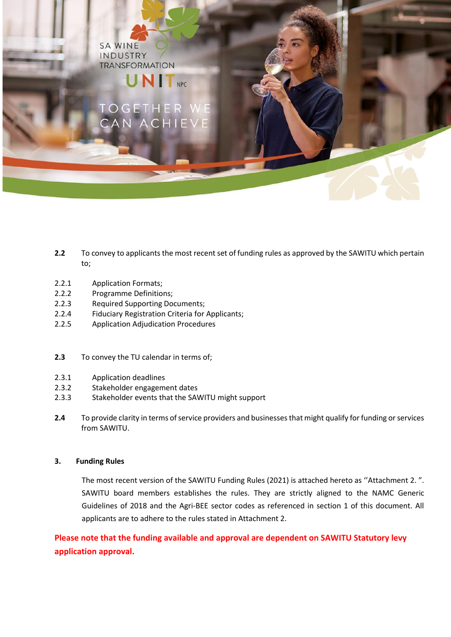**SA WINE** INDUSTRY **TRANSFORMATION** 

# **UNIT**<sub>NPC</sub>

- **2.2** To convey to applicants the most recent set of funding rules as approved by the SAWITU which pertain to;
- 2.2.1 Application Formats;
- 2.2.2 Programme Definitions;
- 2.2.3 Required Supporting Documents;
- 2.2.4 Fiduciary Registration Criteria for Applicants;
- 2.2.5 Application Adjudication Procedures
- **2.3** To convey the TU calendar in terms of;
- 2.3.1 Application deadlines
- 2.3.2 Stakeholder engagement dates
- 2.3.3 Stakeholder events that the SAWITU might support
- **2.4** To provide clarity in terms of service providers and businesses that might qualify for funding or services from SAWITU.

### **3. Funding Rules**

The most recent version of the SAWITU Funding Rules (2021) is attached hereto as ''Attachment 2. ". SAWITU board members establishes the rules. They are strictly aligned to the NAMC Generic Guidelines of 2018 and the Agri-BEE sector codes as referenced in section 1 of this document. All applicants are to adhere to the rules stated in Attachment 2.

**Please note that the funding available and approval are dependent on SAWITU Statutory levy application approval.**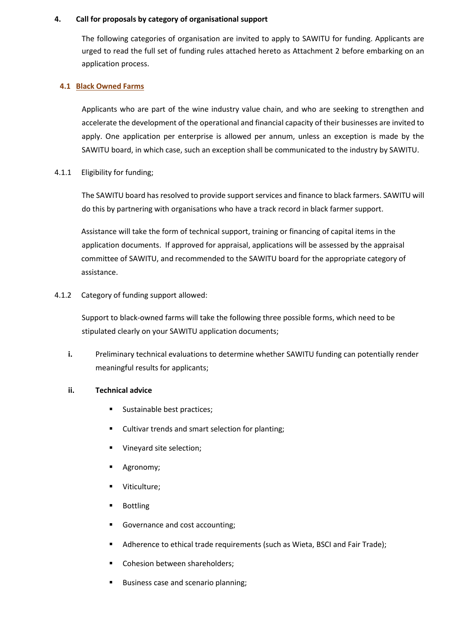### **4. Call for proposals by category of organisational support**

The following categories of organisation are invited to apply to SAWITU for funding. Applicants are urged to read the full set of funding rules attached hereto as Attachment 2 before embarking on an application process.

### **4.1 Black Owned Farms**

Applicants who are part of the wine industry value chain, and who are seeking to strengthen and accelerate the development of the operational and financial capacity of their businesses are invited to apply. One application per enterprise is allowed per annum, unless an exception is made by the SAWITU board, in which case, such an exception shall be communicated to the industry by SAWITU.

4.1.1 Eligibility for funding;

The SAWITU board has resolved to provide support services and finance to black farmers. SAWITU will do this by partnering with organisations who have a track record in black farmer support.

Assistance will take the form of technical support, training or financing of capital items in the application documents. If approved for appraisal, applications will be assessed by the appraisal committee of SAWITU, and recommended to the SAWITU board for the appropriate category of assistance.

### 4.1.2 Category of funding support allowed:

Support to black-owned farms will take the following three possible forms, which need to be stipulated clearly on your SAWITU application documents;

**i.** Preliminary technical evaluations to determine whether SAWITU funding can potentially render meaningful results for applicants;

### **ii. Technical advice**

- **Sustainable best practices;**
- **EXECUTE:** Cultivar trends and smart selection for planting;
- Vineyard site selection;
- Agronomy;
- Viticulture;
- Bottling
- Governance and cost accounting;
- Adherence to ethical trade requirements (such as Wieta, BSCI and Fair Trade);
- Cohesion between shareholders:
- **Business case and scenario planning;**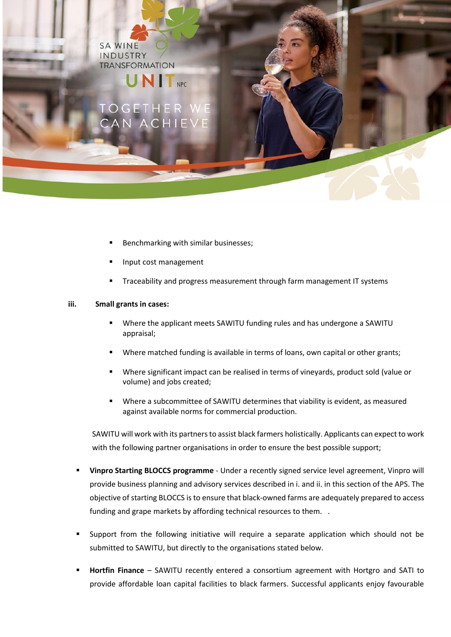**SA WINE** INDUSTRY **TRANSFORMATION** 

## **NIT**<sub>NPC</sub>

- Benchmarking with similar businesses;
- Input cost management
- Traceability and progress measurement through farm management IT systems

### **iii. Small grants in cases:**

- Where the applicant meets SAWITU funding rules and has undergone a SAWITU appraisal;
- Where matched funding is available in terms of loans, own capital or other grants;
- Where significant impact can be realised in terms of vineyards, product sold (value or volume) and jobs created;
- Where a subcommittee of SAWITU determines that viability is evident, as measured against available norms for commercial production.

SAWITU will work with its partners to assist black farmers holistically. Applicants can expect to work with the following partner organisations in order to ensure the best possible support;

- **Vinpro Starting BLOCCS programme** Under a recently signed service level agreement, Vinpro will provide business planning and advisory services described in i. and ii. in this section of the APS. The objective of starting BLOCCS is to ensure that black-owned farms are adequately prepared to access funding and grape markets by affording technical resources to them. .
- Support from the following initiative will require a separate application which should not be submitted to SAWITU, but directly to the organisations stated below.
- **Hortfin Finance** SAWITU recently entered a consortium agreement with Hortgro and SATI to provide affordable loan capital facilities to black farmers. Successful applicants enjoy favourable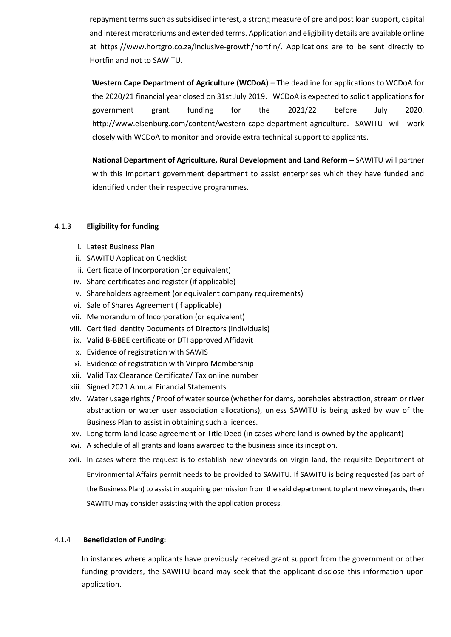repayment terms such as subsidised interest, a strong measure of pre and post loan support, capital and interest moratoriums and extended terms. Application and eligibility details are available online at [https://www.hortgro.co.za/inclusive-growth/hortfin/.](https://www.hortgro.co.za/inclusive-growth/hortfin/) Applications are to be sent directly to Hortfin and not to SAWITU.

**Western Cape Department of Agriculture (WCDoA)** – The deadline for applications to WCDoA for the 2020/21 financial year closed on 31st July 2019. WCDoA is expected to solicit applications for government grant funding for the 2021/22 before July 2020. [http://www.elsenburg.com/content/western-cape-department-agriculture.](http://www.elsenburg.com/content/western-cape-department-agriculture) SAWITU will work closely with WCDoA to monitor and provide extra technical support to applicants.

**National Department of Agriculture, Rural Development and Land Reform** – SAWITU will partner with this important government department to assist enterprises which they have funded and identified under their respective programmes.

### 4.1.3 **Eligibility for funding**

- i. Latest Business Plan
- ii. SAWITU Application Checklist
- iii. Certificate of Incorporation (or equivalent)
- iv. Share certificates and register (if applicable)
- v. Shareholders agreement (or equivalent company requirements)
- vi. Sale of Shares Agreement (if applicable)
- vii. Memorandum of Incorporation (or equivalent)
- viii. Certified Identity Documents of Directors (Individuals)
- ix. Valid B-BBEE certificate or DTI approved Affidavit
- x. Evidence of registration with SAWIS
- xi. Evidence of registration with Vinpro Membership
- xii. Valid Tax Clearance Certificate/ Tax online number
- xiii. Signed 2021 Annual Financial Statements
- xiv. Water usage rights/ Proof of water source (whether for dams, boreholes abstraction, stream or river abstraction or water user association allocations), unless SAWITU is being asked by way of the Business Plan to assist in obtaining such a licences.
- xv. Long term land lease agreement or Title Deed (in cases where land is owned by the applicant)
- xvi. A schedule of all grants and loans awarded to the business since its inception.
- xvii. In cases where the request is to establish new vineyards on virgin land, the requisite Department of Environmental Affairs permit needs to be provided to SAWITU. If SAWITU is being requested (as part of the Business Plan) to assist in acquiring permission from the said department to plant new vineyards, then SAWITU may consider assisting with the application process.

### 4.1.4 **Beneficiation of Funding:**

In instances where applicants have previously received grant support from the government or other funding providers, the SAWITU board may seek that the applicant disclose this information upon application.